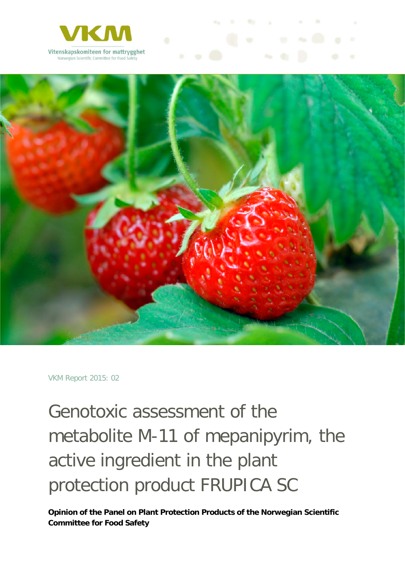



VKM Report 2015: 02

Genotoxic assessment of the metabolite M-11 of mepanipyrim, the active ingredient in the plant protection product FRUPICA SC

**Opinion of the Panel on Plant Protection Products of the Norwegian Scientific Committee for Food Safety**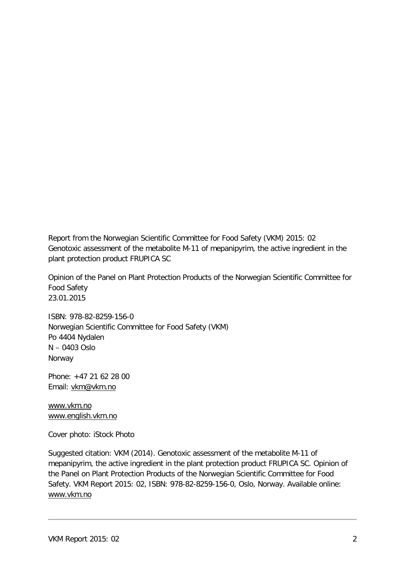Report from the Norwegian Scientific Committee for Food Safety (VKM) 2015: 02 Genotoxic assessment of the metabolite M-11 of mepanipyrim, the active ingredient in the plant protection product FRUPICA SC

Opinion of the Panel on Plant Protection Products of the Norwegian Scientific Committee for Food Safety 23.01.2015

ISBN: 978-82-8259-156-0 Norwegian Scientific Committee for Food Safety (VKM) Po 4404 Nydalen N – 0403 Oslo Norway

Phone: +47 21 62 28 00 Email: [vkm@vkm.no](mailto:vkm@vkm.no)

[www.vkm.no](http://www.vkm.no/) [www.english.vkm.no](http://www.english.vkm.no/)

Cover photo: iStock Photo

Suggested citation: VKM (2014). Genotoxic assessment of the metabolite M-11 of mepanipyrim, the active ingredient in the plant protection product FRUPICA SC. Opinion of the Panel on Plant Protection Products of the Norwegian Scientific Committee for Food Safety. VKM Report 2015: 02, ISBN: 978-82-8259-156-0, Oslo, Norway. Available online: [www.vkm.no](http://www.vkm.no/)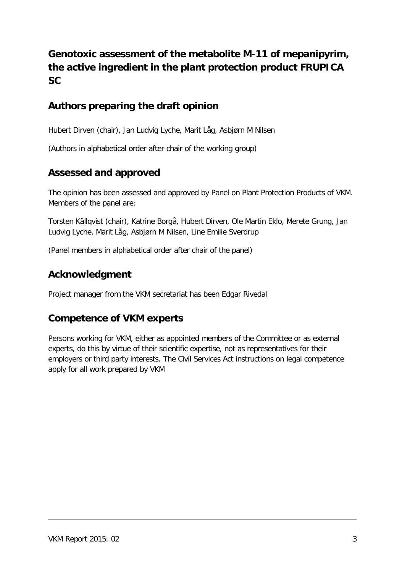### **Genotoxic assessment of the metabolite M-11 of mepanipyrim, the active ingredient in the plant protection product FRUPICA SC**

### **Authors preparing the draft opinion**

Hubert Dirven (chair), Jan Ludvig Lyche, Marit Låg, Asbjørn M Nilsen

(Authors in alphabetical order after chair of the working group)

### **Assessed and approved**

The opinion has been assessed and approved by Panel on Plant Protection Products of VKM. Members of the panel are:

Torsten Källqvist (chair), Katrine Borgå, Hubert Dirven, Ole Martin Eklo, Merete Grung, Jan Ludvig Lyche, Marit Låg, Asbjørn M Nilsen, Line Emilie Sverdrup

(Panel members in alphabetical order after chair of the panel)

#### **Acknowledgment**

Project manager from the VKM secretariat has been Edgar Rivedal

#### **Competence of VKM experts**

Persons working for VKM, either as appointed members of the Committee or as external experts, do this by virtue of their scientific expertise, not as representatives for their employers or third party interests. The Civil Services Act instructions on legal competence apply for all work prepared by VKM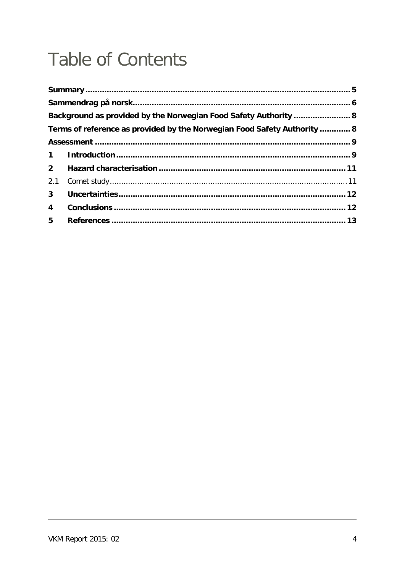# **Table of Contents**

|                | Background as provided by the Norwegian Food Safety Authority  8         |  |
|----------------|--------------------------------------------------------------------------|--|
|                | Terms of reference as provided by the Norwegian Food Safety Authority  8 |  |
|                |                                                                          |  |
|                |                                                                          |  |
| $2^{\circ}$    |                                                                          |  |
| 2.1            |                                                                          |  |
| 3 <sup>1</sup> |                                                                          |  |
| $\overline{4}$ |                                                                          |  |
| 5 <sub>1</sub> |                                                                          |  |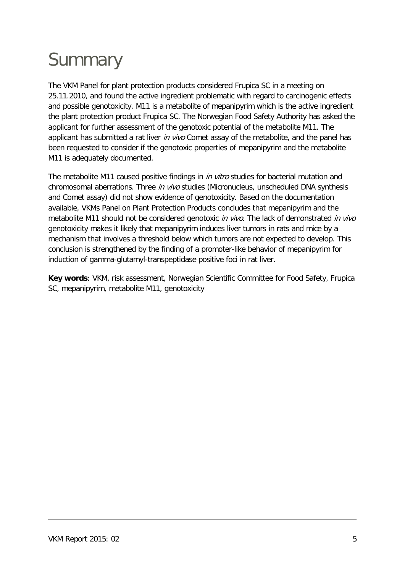# <span id="page-4-0"></span>**Summary**

The VKM Panel for plant protection products considered Frupica SC in a meeting on 25.11.2010, and found the active ingredient problematic with regard to carcinogenic effects and possible genotoxicity. M11 is a metabolite of mepanipyrim which is the active ingredient the plant protection product Frupica SC. The Norwegian Food Safety Authority has asked the applicant for further assessment of the genotoxic potential of the metabolite M11. The applicant has submitted a rat liver in vivo Comet assay of the metabolite, and the panel has been requested to consider if the genotoxic properties of mepanipyrim and the metabolite M11 is adequately documented.

The metabolite M11 caused positive findings in *in vitro* studies for bacterial mutation and chromosomal aberrations. Three in vivo studies (Micronucleus, unscheduled DNA synthesis and Comet assay) did not show evidence of genotoxicity. Based on the documentation available, VKMs Panel on Plant Protection Products concludes that mepanipyrim and the metabolite M11 should not be considered genotoxic in vivo. The lack of demonstrated in vivo genotoxicity makes it likely that mepanipyrim induces liver tumors in rats and mice by a mechanism that involves a threshold below which tumors are not expected to develop. This conclusion is strengthened by the finding of a promoter-like behavior of mepanipyrim for induction of gamma-glutamyl-transpeptidase positive foci in rat liver.

**Key words**: VKM, risk assessment, Norwegian Scientific Committee for Food Safety, Frupica SC, mepanipyrim, metabolite M11, genotoxicity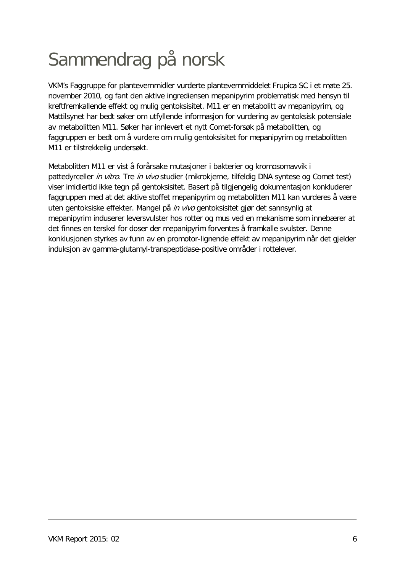# <span id="page-5-0"></span>Sammendrag på norsk

VKM's Faggruppe for plantevernmidler vurderte plantevernmiddelet Frupica SC i et møte 25. november 2010, og fant den aktive ingrediensen mepanipyrim problematisk med hensyn til kreftfremkallende effekt og mulig gentoksisitet. M11 er en metabolitt av mepanipyrim, og Mattilsynet har bedt søker om utfyllende informasjon for vurdering av gentoksisk potensiale av metabolitten M11. Søker har innlevert et nytt Comet-forsøk på metabolitten, og faggruppen er bedt om å vurdere om mulig gentoksisitet for mepanipyrim og metabolitten M11 er tilstrekkelig undersøkt.

Metabolitten M11 er vist å forårsake mutasjoner i bakterier og kromosomavvik i pattedyrceller *in vitro*. Tre *in vivo* studier (mikrokjerne, tilfeldig DNA syntese og Comet test) viser imidlertid ikke tegn på gentoksisitet. Basert på tilgjengelig dokumentasjon konkluderer faggruppen med at det aktive stoffet mepanipyrim og metabolitten M11 kan vurderes å være uten gentoksiske effekter. Mangel på in vivo gentoksisitet gjør det sannsynlig at mepanipyrim induserer leversvulster hos rotter og mus ved en mekanisme som innebærer at det finnes en terskel for doser der mepanipyrim forventes å framkalle svulster. Denne konklusjonen styrkes av funn av en promotor-lignende effekt av mepanipyrim når det gjelder induksjon av gamma-glutamyl-transpeptidase-positive områder i rottelever.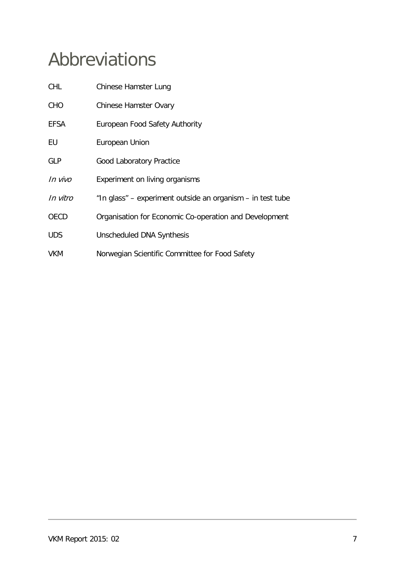## Abbreviations

| <b>CHL</b>  | Chinese Hamster Lung                                       |
|-------------|------------------------------------------------------------|
| <b>CHO</b>  | <b>Chinese Hamster Ovary</b>                               |
| <b>EFSA</b> | European Food Safety Authority                             |
| EU          | European Union                                             |
| <b>GLP</b>  | <b>Good Laboratory Practice</b>                            |
| In vivo     | Experiment on living organisms                             |
| In vitro    | "In glass" – experiment outside an organism – in test tube |
| <b>OECD</b> | Organisation for Economic Co-operation and Development     |
| <b>UDS</b>  | Unscheduled DNA Synthesis                                  |
| <b>VKM</b>  | Norwegian Scientific Committee for Food Safety             |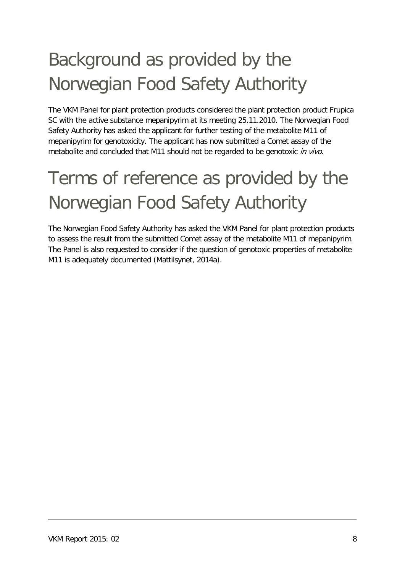# <span id="page-7-0"></span>Background as provided by the Norwegian Food Safety Authority

The VKM Panel for plant protection products considered the plant protection product Frupica SC with the active substance mepanipyrim at its meeting 25.11.2010. The Norwegian Food Safety Authority has asked the applicant for further testing of the metabolite M11 of mepanipyrim for genotoxicity. The applicant has now submitted a Comet assay of the metabolite and concluded that M11 should not be regarded to be genotoxic in vivo.

# <span id="page-7-1"></span>Terms of reference as provided by the Norwegian Food Safety Authority

The Norwegian Food Safety Authority has asked the VKM Panel for plant protection products to assess the result from the submitted Comet assay of the metabolite M11 of mepanipyrim. The Panel is also requested to consider if the question of genotoxic properties of metabolite M11 is adequately documented [\(Mattilsynet, 2014a\)](#page-12-1).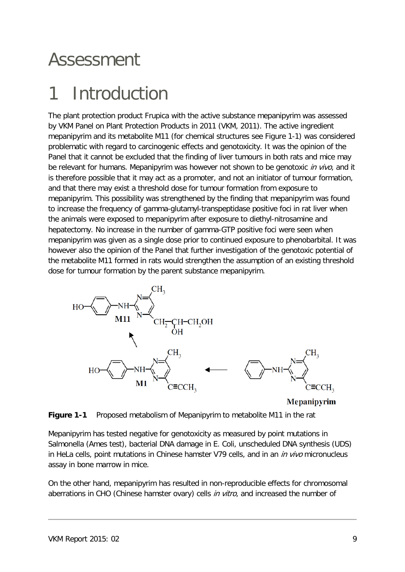### <span id="page-8-0"></span>Assessment

## <span id="page-8-1"></span>1 Introduction

The plant protection product Frupica with the active substance mepanipyrim was assessed by VKM Panel on Plant Protection Products in 2011 [\(VKM, 2011\)](#page-12-2). The active ingredient mepanipyrim and its metabolite M11 (for chemical structures see Figure 1-1) was considered problematic with regard to carcinogenic effects and genotoxicity. It was the opinion of the Panel that it cannot be excluded that the finding of liver tumours in both rats and mice may be relevant for humans. Mepanipyrim was however not shown to be genotoxic *in vivo*, and it is therefore possible that it may act as a promoter, and not an initiator of tumour formation, and that there may exist a threshold dose for tumour formation from exposure to mepanipyrim. This possibility was strengthened by the finding that mepanipyrim was found to increase the frequency of gamma-glutamyl-transpeptidase positive foci in rat liver when the animals were exposed to mepanipyrim after exposure to diethyl-nitrosamine and hepatectomy. No increase in the number of gamma-GTP positive foci were seen when mepanipyrim was given as a single dose prior to continued exposure to phenobarbital. It was however also the opinion of the Panel that further investigation of the genotoxic potential of the metabolite M11 formed in rats would strengthen the assumption of an existing threshold dose for tumour formation by the parent substance mepanipyrim.



**Mepanipyrim** 



Mepanipyrim has tested negative for genotoxicity as measured by point mutations in Salmonella (Ames test), bacterial DNA damage in E. Coli, unscheduled DNA synthesis (UDS) in HeLa cells, point mutations in Chinese hamster V79 cells, and in an *in vivo* micronucleus assay in bone marrow in mice.

On the other hand, mepanipyrim has resulted in non-reproducible effects for chromosomal aberrations in CHO (Chinese hamster ovary) cells in vitro, and increased the number of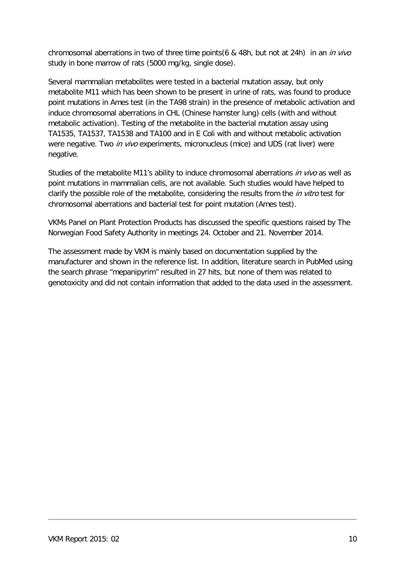chromosomal aberrations in two of three time points(6 & 48h, but not at 24h) in an *in vivo* study in bone marrow of rats (5000 mg/kg, single dose).

Several mammalian metabolites were tested in a bacterial mutation assay, but only metabolite M11 which has been shown to be present in urine of rats, was found to produce point mutations in Ames test (in the TA98 strain) in the presence of metabolic activation and induce chromosomal aberrations in CHL (Chinese hamster lung) cells (with and without metabolic activation). Testing of the metabolite in the bacterial mutation assay using TA1535, TA1537, TA1538 and TA100 and in E Coli with and without metabolic activation were negative. Two in vivo experiments, micronucleus (mice) and UDS (rat liver) were negative.

Studies of the metabolite M11's ability to induce chromosomal aberrations in vivo as well as point mutations in mammalian cells, are not available. Such studies would have helped to clarify the possible role of the metabolite, considering the results from the *in vitro* test for chromosomal aberrations and bacterial test for point mutation (Ames test).

VKMs Panel on Plant Protection Products has discussed the specific questions raised by The Norwegian Food Safety Authority in meetings 24. October and 21. November 2014.

The assessment made by VKM is mainly based on documentation supplied by the manufacturer and shown in the reference list. In addition, literature search in PubMed using the search phrase "mepanipyrim" resulted in 27 hits, but none of them was related to genotoxicity and did not contain information that added to the data used in the assessment.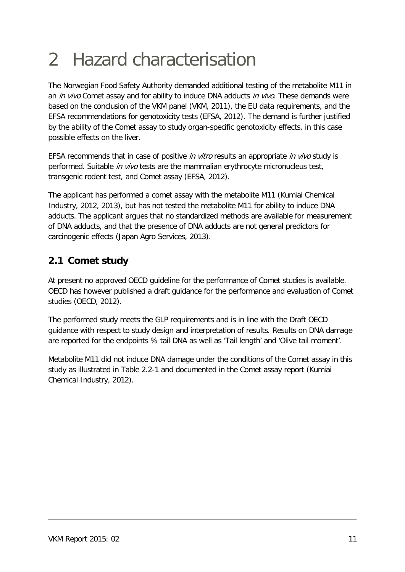## <span id="page-10-0"></span>2 Hazard characterisation

The Norwegian Food Safety Authority demanded additional testing of the metabolite M11 in an *in vivo* Comet assay and for ability to induce DNA adducts *in vivo*. These demands were based on the conclusion of the VKM panel [\(VKM, 2011\)](#page-12-2), the EU data requirements, and the EFSA recommendations for genotoxicity tests [\(EFSA, 2012\)](#page-12-3). The demand is further justified by the ability of the Comet assay to study organ-specific genotoxicity effects, in this case possible effects on the liver.

EFSA recommends that in case of positive *in vitro* results an appropriate *in vivo* study is performed. Suitable in vivo tests are the mammalian erythrocyte micronucleus test, transgenic rodent test, and Comet assay [\(EFSA, 2012\)](#page-12-3).

The applicant has performed a comet assay with the metabolite M11 [\(Kumiai Chemical](#page-12-4)  [Industry, 2012,](#page-12-4) [2013\)](#page-12-5), but has not tested the metabolite M11 for ability to induce DNA adducts. The applicant argues that no standardized methods are available for measurement of DNA adducts, and that the presence of DNA adducts are not general predictors for carcinogenic effects [\(Japan Agro Services, 2013\)](#page-12-6).

### <span id="page-10-1"></span>**2.1 Comet study**

At present no approved OECD guideline for the performance of Comet studies is available. OECD has however published a draft guidance for the performance and evaluation of Comet studies [\(OECD, 2012\)](#page-12-7).

The performed study meets the GLP requirements and is in line with the Draft OECD guidance with respect to study design and interpretation of results. Results on DNA damage are reported for the endpoints % tail DNA as well as 'Tail length' and 'Olive tail moment'.

Metabolite M11 did not induce DNA damage under the conditions of the Comet assay in this study as illustrated in Table 2.2-1 and documented in the Comet assay report [\(Kumiai](#page-12-4)  [Chemical Industry, 2012\)](#page-12-4).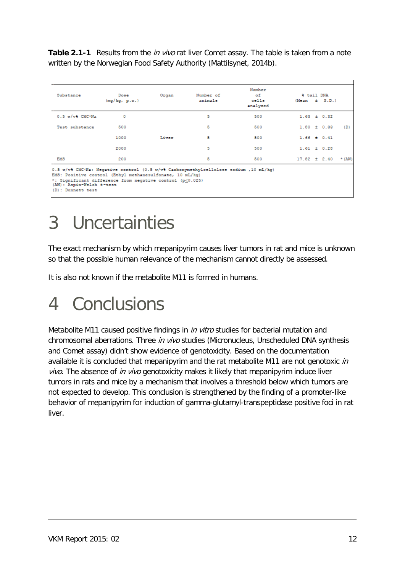**Table 2.1-1** Results from the *in vivo* rat liver Comet assay. The table is taken from a note written by the Norwegian Food Safety Authority [\(Mattilsynet, 2014b\)](#page-12-8).

|       |   | analysed                                                                                                              |                                                                                       | $(Mean \pm 3.D.)$ |                                                                           |
|-------|---|-----------------------------------------------------------------------------------------------------------------------|---------------------------------------------------------------------------------------|-------------------|---------------------------------------------------------------------------|
|       | 5 | 500                                                                                                                   | $1.63 \pm 0.32$                                                                       |                   |                                                                           |
|       | 5 | 500                                                                                                                   |                                                                                       |                   | (D)                                                                       |
| Liver | 5 | 500                                                                                                                   |                                                                                       |                   |                                                                           |
|       | 5 | 500                                                                                                                   |                                                                                       |                   |                                                                           |
|       | 5 | 500                                                                                                                   |                                                                                       |                   | $*$ (AW)                                                                  |
|       |   | EMS: Positive control (Ethyl methanesulfonate, 10 mL/kq)<br>*: Significant difference from negative control (p<0.025) | 0.5 w/v% CMC.Na: Neqative control (0.5 w/v% Carboxymethylcellulose sodium , 10 mL/kq) |                   | $1.80 \pm 0.33$<br>$1.66 \pm 0.41$<br>$1.61 \pm 0.28$<br>$17.82 \pm 2.40$ |

## <span id="page-11-0"></span>3 Uncertainties

The exact mechanism by which mepanipyrim causes liver tumors in rat and mice is unknown so that the possible human relevance of the mechanism cannot directly be assessed.

It is also not known if the metabolite M11 is formed in humans.

## <span id="page-11-1"></span>4 Conclusions

Metabolite M11 caused positive findings in *in vitro* studies for bacterial mutation and chromosomal aberrations. Three in vivo studies (Micronucleus, Unscheduled DNA synthesis and Comet assay) didn't show evidence of genotoxicity. Based on the documentation available it is concluded that mepanipyrim and the rat metabolite M11 are not genotoxic in vivo. The absence of in vivo genotoxicity makes it likely that mepanipyrim induce liver tumors in rats and mice by a mechanism that involves a threshold below which tumors are not expected to develop. This conclusion is strengthened by the finding of a promoter-like behavior of mepanipyrim for induction of gamma-glutamyl-transpeptidase positive foci in rat liver.